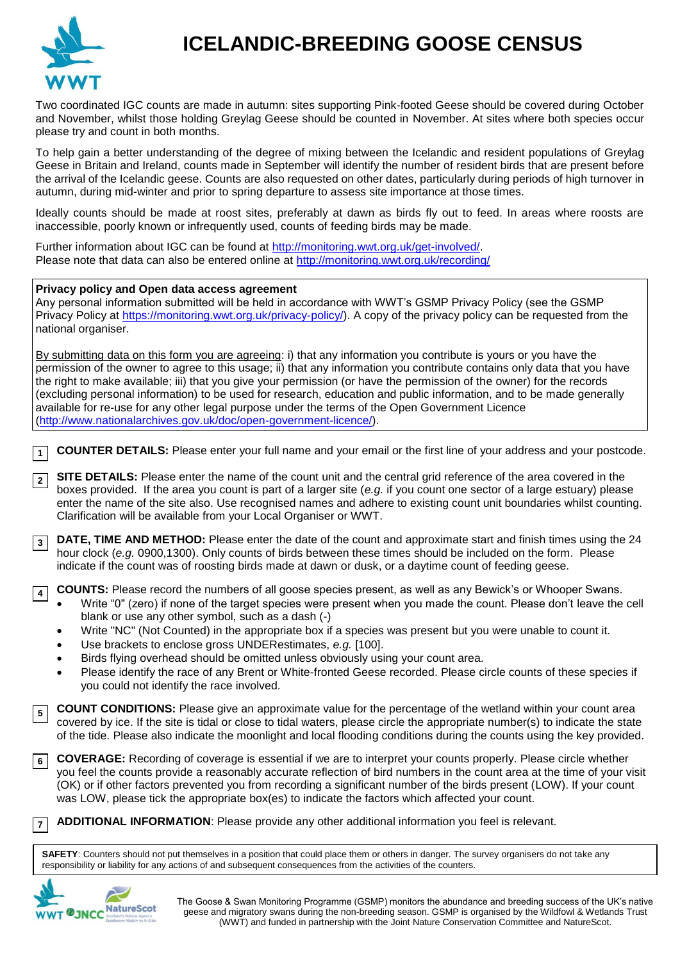

## **ICELANDIC-BREEDING GOOSE CENSUS**

Two coordinated IGC counts are made in autumn: sites supporting Pink-footed Geese should be covered during October and November, whilst those holding Greylag Geese should be counted in November. At sites where both species occur please try and count in both months.

To help gain a better understanding of the degree of mixing between the Icelandic and resident populations of Greylag Geese in Britain and Ireland, counts made in September will identify the number of resident birds that are present before the arrival of the Icelandic geese. Counts are also requested on other dates, particularly during periods of high turnover in autumn, during mid-winter and prior to spring departure to assess site importance at those times.

Ideally counts should be made at roost sites, preferably at dawn as birds fly out to feed. In areas where roosts are inaccessible, poorly known or infrequently used, counts of feeding birds may be made.

Further information about IGC can be found at [http://monitoring.wwt.org.uk/get-involved/.](http://monitoring.wwt.org.uk/get-involved/) Please note that data can also be entered online at<http://monitoring.wwt.org.uk/recording/>

## **Privacy policy and Open data access agreement**

Any personal information submitted will be held in accordance with WWT's GSMP Privacy Policy (see the GSMP Privacy Policy at [https://monitoring.wwt.org.uk/privacy-policy/\)](https://monitoring.wwt.org.uk/privacy-policy/). A copy of the privacy policy can be requested from the national organiser.

By submitting data on this form you are agreeing: i) that any information you contribute is yours or you have the permission of the owner to agree to this usage; ii) that any information you contribute contains only data that you have the right to make available; iii) that you give your permission (or have the permission of the owner) for the records (excluding personal information) to be used for research, education and public information, and to be made generally available for re-use for any other legal purpose under the terms of the Open Government Licence [\(http://www.nationalarchives.gov.uk/doc/open-government-licence/\)](http://www.nationalarchives.gov.uk/doc/open-government-licence/).

**COUNTER DETAILS:** Please enter your full name and your email or the first line of your address and your postcode. **1**

**SITE DETAILS:** Please enter the name of the count unit and the central grid reference of the area covered in the boxes provided. If the area you count is part of a larger site (*e.g.* if you count one sector of a large estuary) please enter the name of the site also. Use recognised names and adhere to existing count unit boundaries whilst counting. Clarification will be available from your Local Organiser or WWT. **2**

**DATE, TIME AND METHOD:** Please enter the date of the count and approximate start and finish times using the 24 hour clock (*e.g.* 0900,1300). Only counts of birds between these times should be included on the form. Please indicate if the count was of roosting birds made at dawn or dusk, or a daytime count of feeding geese. **3**

**COUNTS:** Please record the numbers of all goose species present, as well as any Bewick's or Whooper Swans. **4**

 Write "0" (zero) if none of the target species were present when you made the count. Please don't leave the cell blank or use any other symbol, such as a dash (-)

- Write "NC" (Not Counted) in the appropriate box if a species was present but you were unable to count it.
- Use brackets to enclose gross UNDERestimates, *e.g.* [100].
- Birds flying overhead should be omitted unless obviously using your count area.
- Please identify the race of any Brent or White-fronted Geese recorded. Please circle counts of these species if you could not identify the race involved.

**COUNT CONDITIONS:** Please give an approximate value for the percentage of the wetland within your count area covered by ice. If the site is tidal or close to tidal waters, please circle the appropriate number(s) to indicate the state of the tide. Please also indicate the moonlight and local flooding conditions during the counts using the key provided. **5**

**COVERAGE:** Recording of coverage is essential if we are to interpret your counts properly. Please circle whether **6** you feel the counts provide a reasonably accurate reflection of bird numbers in the count area at the time of your visit (OK) or if other factors prevented you from recording a significant number of the birds present (LOW). If your count was LOW, please tick the appropriate box(es) to indicate the factors which affected your count.

**ADDITIONAL INFORMATION**: Please provide any other additional information you feel is relevant. **7**

**SAFETY**: Counters should not put themselves in a position that could place them or others in danger. The survey organisers do not take any responsibility or liability for any actions of and subsequent consequences from the activities of the counters.



The Goose & Swan Monitoring Programme (GSMP) monitors the abundance and breeding success of the UK's native geese and migratory swans during the non-breeding season. GSMP is organised by the Wildfowl & Wetlands Trust (WWT) and funded in partnership with the Joint Nature Conservation Committee and NatureScot.